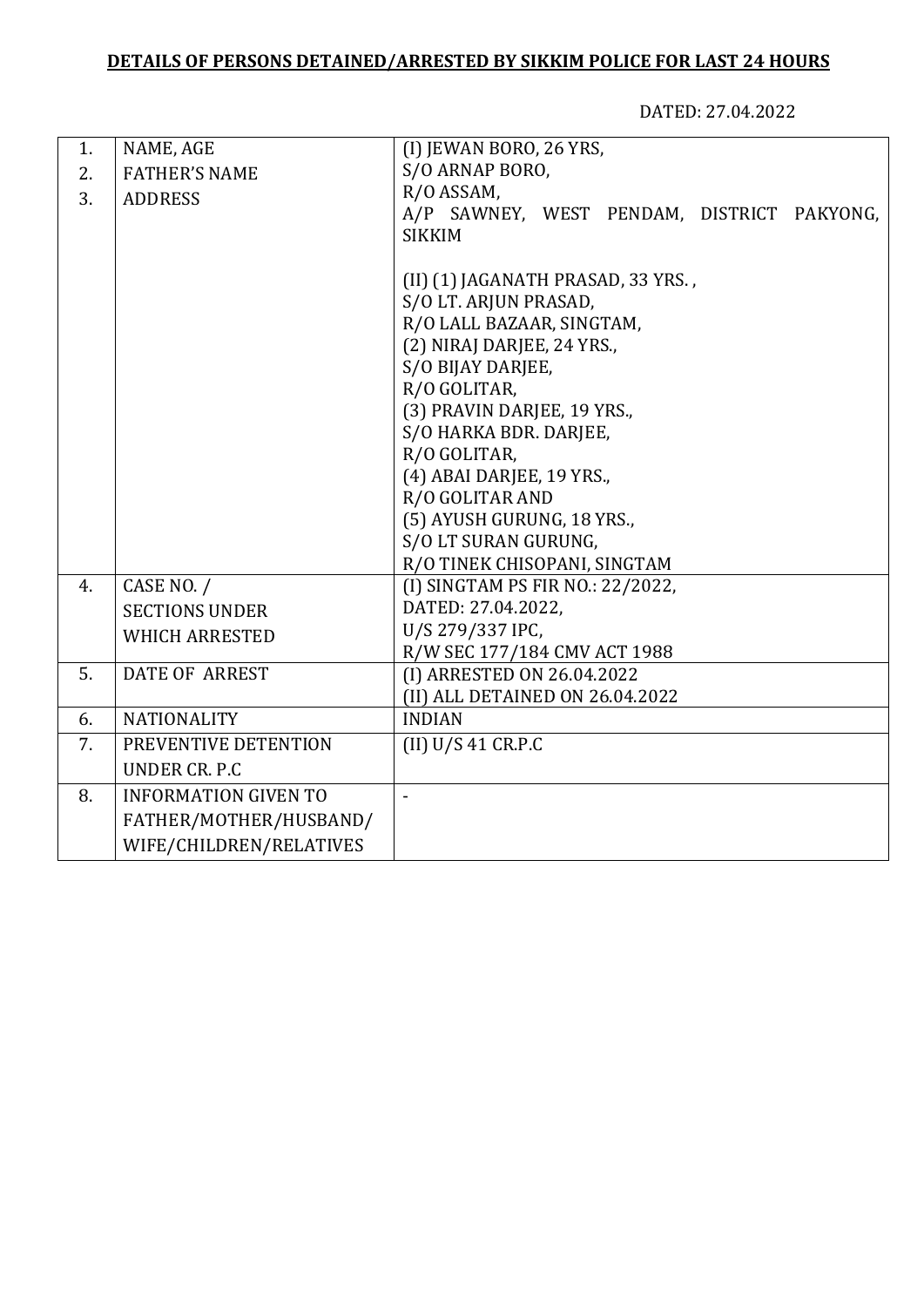## **DETAILS OF PERSONS DETAINED/ARRESTED BY SIKKIM POLICE FOR LAST 24 HOURS**

DATED: 27.04.2022

| 1. | NAME, AGE                   | (I) JEWAN BORO, 26 YRS,                    |
|----|-----------------------------|--------------------------------------------|
| 2. | <b>FATHER'S NAME</b>        | S/O ARNAP BORO,                            |
| 3. | <b>ADDRESS</b>              | R/O ASSAM,                                 |
|    |                             | A/P SAWNEY, WEST PENDAM, DISTRICT PAKYONG, |
|    |                             | <b>SIKKIM</b>                              |
|    |                             |                                            |
|    |                             | (II) (1) JAGANATH PRASAD, 33 YRS.,         |
|    |                             | S/O LT. ARJUN PRASAD,                      |
|    |                             | R/O LALL BAZAAR, SINGTAM,                  |
|    |                             | (2) NIRAJ DARJEE, 24 YRS.,                 |
|    |                             | S/O BIJAY DARJEE,                          |
|    |                             | R/O GOLITAR,                               |
|    |                             | (3) PRAVIN DARJEE, 19 YRS.,                |
|    |                             | S/O HARKA BDR. DARJEE,                     |
|    |                             | R/O GOLITAR,                               |
|    |                             | (4) ABAI DARJEE, 19 YRS.,                  |
|    |                             | R/O GOLITAR AND                            |
|    |                             | (5) AYUSH GURUNG, 18 YRS.,                 |
|    |                             | S/O LT SURAN GURUNG,                       |
|    |                             | R/O TINEK CHISOPANI, SINGTAM               |
| 4. | CASE NO. /                  | (I) SINGTAM PS FIR NO.: 22/2022,           |
|    | <b>SECTIONS UNDER</b>       | DATED: 27.04.2022,<br>U/S 279/337 IPC,     |
|    | <b>WHICH ARRESTED</b>       | R/W SEC 177/184 CMV ACT 1988               |
| 5. | <b>DATE OF ARREST</b>       | (I) ARRESTED ON 26.04.2022                 |
|    |                             | (II) ALL DETAINED ON 26.04.2022            |
| 6. | <b>NATIONALITY</b>          | <b>INDIAN</b>                              |
| 7. | PREVENTIVE DETENTION        | (II) U/S 41 C R.P.C                        |
|    |                             |                                            |
|    | UNDER CR. P.C.              |                                            |
| 8. | <b>INFORMATION GIVEN TO</b> |                                            |
|    | FATHER/MOTHER/HUSBAND/      |                                            |
|    | WIFE/CHILDREN/RELATIVES     |                                            |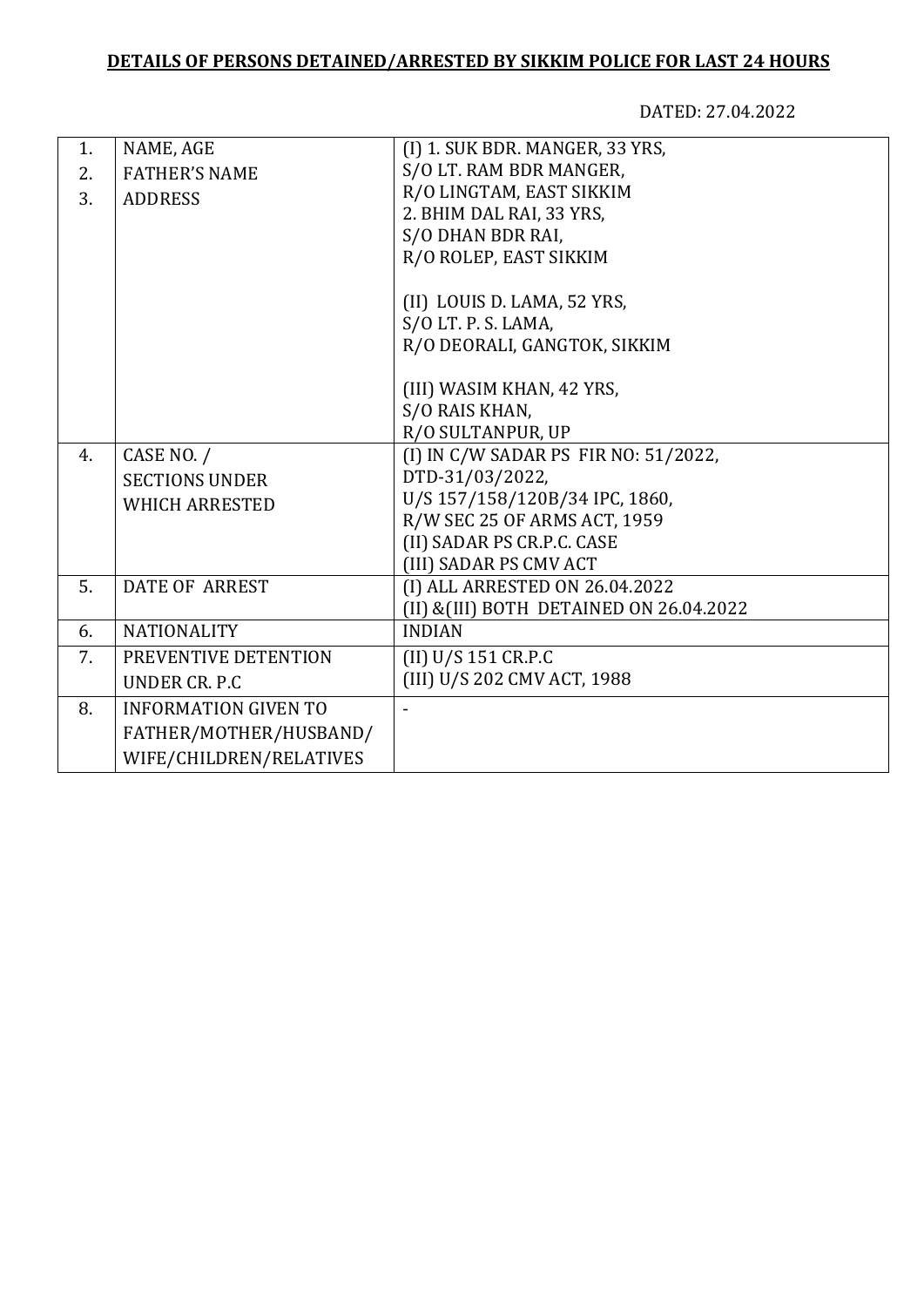## **DETAILS OF PERSONS DETAINED/ARRESTED BY SIKKIM POLICE FOR LAST 24 HOURS**

DATED: 27.04.2022

| 1. | NAME, AGE                   | (I) 1. SUK BDR. MANGER, 33 YRS,          |
|----|-----------------------------|------------------------------------------|
| 2. | <b>FATHER'S NAME</b>        | S/O LT. RAM BDR MANGER,                  |
| 3. | <b>ADDRESS</b>              | R/O LINGTAM, EAST SIKKIM                 |
|    |                             | 2. BHIM DAL RAI, 33 YRS,                 |
|    |                             | S/O DHAN BDR RAI,                        |
|    |                             | R/O ROLEP, EAST SIKKIM                   |
|    |                             | (II) LOUIS D. LAMA, 52 YRS,              |
|    |                             | S/O LT. P. S. LAMA,                      |
|    |                             | R/O DEORALI, GANGTOK, SIKKIM             |
|    |                             |                                          |
|    |                             | (III) WASIM KHAN, 42 YRS,                |
|    |                             | S/O RAIS KHAN,                           |
|    |                             | R/O SULTANPUR, UP                        |
| 4. | CASE NO. /                  | (I) IN C/W SADAR PS FIR NO: 51/2022,     |
|    | <b>SECTIONS UNDER</b>       | DTD-31/03/2022,                          |
|    | <b>WHICH ARRESTED</b>       | U/S 157/158/120B/34 IPC, 1860,           |
|    |                             | R/W SEC 25 OF ARMS ACT, 1959             |
|    |                             | (II) SADAR PS CR.P.C. CASE               |
|    |                             | (III) SADAR PS CMV ACT                   |
| 5. | <b>DATE OF ARREST</b>       | (I) ALL ARRESTED ON 26.04.2022           |
|    |                             | (II) & (III) BOTH DETAINED ON 26.04.2022 |
| 6. | <b>NATIONALITY</b>          | <b>INDIAN</b>                            |
| 7. | PREVENTIVE DETENTION        | (II) U/S 151 CR.P.C                      |
|    | UNDER CR. P.C.              | (III) U/S 202 CMV ACT, 1988              |
| 8. | <b>INFORMATION GIVEN TO</b> |                                          |
|    | FATHER/MOTHER/HUSBAND/      |                                          |
|    | WIFE/CHILDREN/RELATIVES     |                                          |
|    |                             |                                          |